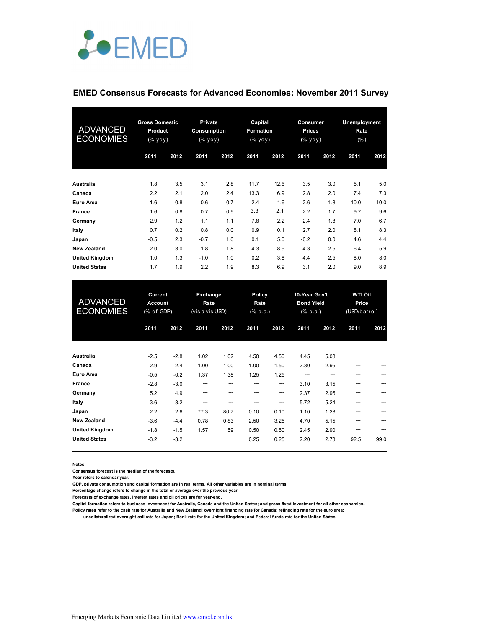

### **EMED Consensus Forecasts for Advanced Economies: November 2011 Survey**

| ADVANCED<br><b>ECONOMIES</b> | <b>Gross Domestic</b><br><b>Product</b><br>(% yoy) |      | <b>Private</b><br>Consumption<br>(% yoy) |      | Capital<br><b>Formation</b><br>(% yoy) |      | Consumer<br><b>Prices</b><br>(% yoy) |      | <b>Unemployment</b><br>Rate<br>$(\% )$ |      |
|------------------------------|----------------------------------------------------|------|------------------------------------------|------|----------------------------------------|------|--------------------------------------|------|----------------------------------------|------|
|                              | 2011                                               | 2012 | 2011                                     | 2012 | 2011                                   | 2012 | 2011                                 | 2012 | 2011                                   | 2012 |
| Australia                    | 1.8                                                | 3.5  | 3.1                                      | 2.8  | 11.7                                   | 12.6 | 3.5                                  | 3.0  | 5.1                                    | 5.0  |
| Canada                       | 2.2                                                | 2.1  | 2.0                                      | 2.4  | 13.3                                   | 6.9  | 2.8                                  | 2.0  | 7.4                                    | 7.3  |
| Euro Area                    | 1.6                                                | 0.8  | 0.6                                      | 0.7  | 2.4                                    | 1.6  | 2.6                                  | 1.8  | 10.0                                   | 10.0 |
| France                       | 1.6                                                | 0.8  | 0.7                                      | 0.9  | 3.3                                    | 2.1  | 2.2                                  | 1.7  | 9.7                                    | 9.6  |
| Germany                      | 2.9                                                | 1.2  | 1.1                                      | 1.1  | 7.8                                    | 2.2  | 2.4                                  | 1.8  | 7.0                                    | 6.7  |
| Italy                        | 0.7                                                | 0.2  | 0.8                                      | 0.0  | 0.9                                    | 0.1  | 2.7                                  | 2.0  | 8.1                                    | 8.3  |
| Japan                        | $-0.5$                                             | 2.3  | $-0.7$                                   | 1.0  | 0.1                                    | 5.0  | $-0.2$                               | 0.0  | 4.6                                    | 4.4  |
| <b>New Zealand</b>           | 2.0                                                | 3.0  | 1.8                                      | 1.8  | 4.3                                    | 8.9  | 4.3                                  | 2.5  | 6.4                                    | 5.9  |
| <b>United Kingdom</b>        | 1.0                                                | 1.3  | $-1.0$                                   | 1.0  | 0.2                                    | 3.8  | 4.4                                  | 2.5  | 8.0                                    | 8.0  |
| <b>United States</b>         | 1.7                                                | 1.9  | 2.2                                      | 1.9  | 8.3                                    | 6.9  | 3.1                                  | 2.0  | 9.0                                    | 8.9  |

| <b>ADVANCED</b><br><b>ECONOMIES</b> | Current<br><b>Account</b><br>(% of GDP) |        | <b>Exchange</b><br>Rate<br>(vis-a-vis USD) |      | Policy<br>Rate<br>$(% \mathbf{a})$ (% p.a.) |      | 10-Year Gov't<br><b>Bond Yield</b><br>(% p.a.) |      | <b>WTI Oil</b><br>Price<br>(USD/barrel) |      |
|-------------------------------------|-----------------------------------------|--------|--------------------------------------------|------|---------------------------------------------|------|------------------------------------------------|------|-----------------------------------------|------|
|                                     | 2011                                    | 2012   | 2011                                       | 2012 | 2011                                        | 2012 | 2011                                           | 2012 | 2011                                    | 2012 |
| <b>Australia</b>                    | $-2.5$                                  | $-2.8$ | 1.02                                       | 1.02 | 4.50                                        | 4.50 | 4.45                                           | 5.08 |                                         |      |
| Canada                              | $-2.9$                                  | $-2.4$ | 1.00                                       | 1.00 | 1.00                                        | 1.50 | 2.30                                           | 2.95 |                                         |      |
| <b>Euro Area</b>                    | $-0.5$                                  | $-0.2$ | 1.37                                       | 1.38 | 1.25                                        | 1.25 |                                                |      |                                         |      |
| <b>France</b>                       | $-2.8$                                  | $-3.0$ | ---                                        |      |                                             | ---  | 3.10                                           | 3.15 |                                         |      |
| Germany                             | 5.2                                     | 4.9    | ---                                        |      |                                             | ---  | 2.37                                           | 2.95 |                                         |      |
| Italy                               | $-3.6$                                  | $-3.2$ | ---                                        |      |                                             | ---  | 5.72                                           | 5.24 |                                         |      |
| Japan                               | 2.2                                     | 2.6    | 77.3                                       | 80.7 | 0.10                                        | 0.10 | 1.10                                           | 1.28 |                                         |      |
| <b>New Zealand</b>                  | $-3.6$                                  | $-4.4$ | 0.78                                       | 0.83 | 2.50                                        | 3.25 | 4.70                                           | 5.15 |                                         |      |
| <b>United Kingdom</b>               | $-1.8$                                  | $-1.5$ | 1.57                                       | 1.59 | 0.50                                        | 0.50 | 2.45                                           | 2.90 |                                         |      |
| <b>United States</b>                | $-3.2$                                  | $-3.2$ |                                            |      | 0.25                                        | 0.25 | 2.20                                           | 2.73 | 92.5                                    | 99.0 |

**Notes:** 

**Consensus forecast is the median of the forecasts.**

**Year refers to calendar year.**

**GDP, private consumption and capital formation are in real terms. All other variables are in nominal terms.**

**Percentage change refers to change in the total or average over the previous year.**

**Forecasts of exchange rates, interest rates and oil prices are for year-end.**

**Capital formation refers to business investment for Australia, Canada and the United States; and gross fixed investment for all other economies. Policy rates refer to the cash rate for Australia and New Zealand; overnight financing rate for Canada; refinacing rate for the euro area;** 

 **uncollateralized overnight call rate for Japan; Bank rate for the United Kingdom; and Federal funds rate for the United States.**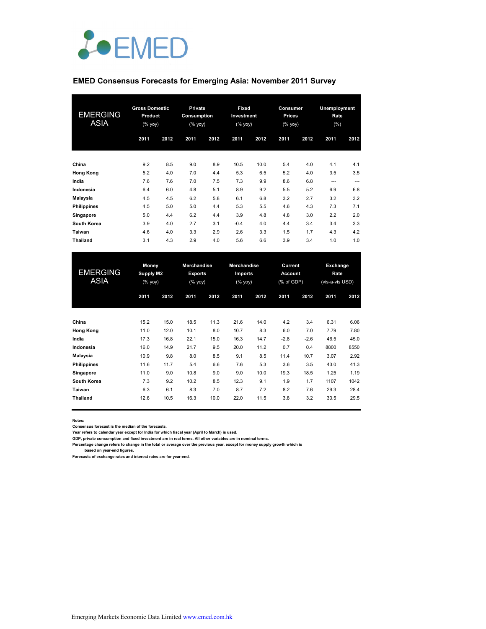

### **EMED Consensus Forecasts for Emerging Asia: November 2011 Survey**

| <b>EMERGING</b><br><b>ASIA</b> | <b>Gross Domestic</b><br>Product<br>(% yoy) |      | <b>Private</b><br>Consumption<br>(% yoy) |      | Fixed<br>Investment<br>(% yoy) |      | Consumer<br><b>Prices</b><br>$(%$ yoy) |      | Unemployment<br>Rate<br>(%) |      |
|--------------------------------|---------------------------------------------|------|------------------------------------------|------|--------------------------------|------|----------------------------------------|------|-----------------------------|------|
|                                | 2011                                        | 2012 | 2011                                     | 2012 | 2011                           | 2012 | 2011                                   | 2012 | 2011                        | 2012 |
| China                          | 9.2                                         | 8.5  | 9.0                                      | 8.9  | 10.5                           | 10.0 | 5.4                                    | 4.0  | 4.1                         | 4.1  |
| <b>Hong Kong</b>               | 5.2                                         | 4.0  | 7.0                                      | 4.4  | 5.3                            | 6.5  | 5.2                                    | 4.0  | 3.5                         | 3.5  |
| India                          | 7.6                                         | 7.6  | 7.0                                      | 7.5  | 7.3                            | 9.9  | 8.6                                    | 6.8  | ---                         | ---  |
| Indonesia                      | 6.4                                         | 6.0  | 4.8                                      | 5.1  | 8.9                            | 9.2  | 5.5                                    | 5.2  | 6.9                         | 6.8  |
| Malaysia                       | 4.5                                         | 4.5  | 6.2                                      | 5.8  | 6.1                            | 6.8  | 3.2                                    | 2.7  | 3.2                         | 3.2  |
| <b>Philippines</b>             | 4.5                                         | 5.0  | 5.0                                      | 4.4  | 5.3                            | 5.5  | 4.6                                    | 4.3  | 7.3                         | 7.1  |
| Singapore                      | 5.0                                         | 4.4  | 6.2                                      | 4.4  | 3.9                            | 4.8  | 4.8                                    | 3.0  | 2.2                         | 2.0  |
| South Korea                    | 3.9                                         | 4.0  | 2.7                                      | 3.1  | $-0.4$                         | 4.0  | 4.4                                    | 3.4  | 3.4                         | 3.3  |
| Taiwan                         | 4.6                                         | 4.0  | 3.3                                      | 2.9  | 2.6                            | 3.3  | 1.5                                    | 1.7  | 4.3                         | 4.2  |
| <b>Thailand</b>                | 3.1                                         | 4.3  | 2.9                                      | 4.0  | 5.6                            | 6.6  | 3.9                                    | 3.4  | 1.0                         | 1.0  |

| <b>EMERGING</b><br>ASIA |      | Money<br><b>Supply M2</b><br>(% yoy) |      | <b>Merchandise</b><br><b>Exports</b><br>(% yoy) |      | Merchandise<br><b>Imports</b><br>(% yoy) |        | Current<br><b>Account</b><br>(% of GDP) |      | Exchange<br>Rate<br>(vis-a-vis USD) |  |
|-------------------------|------|--------------------------------------|------|-------------------------------------------------|------|------------------------------------------|--------|-----------------------------------------|------|-------------------------------------|--|
|                         | 2011 | 2012                                 | 2011 | 2012                                            | 2011 | 2012                                     | 2011   | 2012                                    | 2011 | 2012                                |  |
| China                   | 15.2 | 15.0                                 | 18.5 | 11.3                                            | 21.6 | 14.0                                     | 4.2    | 3.4                                     | 6.31 | 6.06                                |  |
| <b>Hong Kong</b>        | 11.0 | 12.0                                 | 10.1 | 8.0                                             | 10.7 | 8.3                                      | 6.0    | 7.0                                     | 7.79 | 7.80                                |  |
| India                   | 17.3 | 16.8                                 | 22.1 | 15.0                                            | 16.3 | 14.7                                     | $-2.8$ | $-2.6$                                  | 46.5 | 45.0                                |  |
| Indonesia               | 16.0 | 14.9                                 | 21.7 | 9.5                                             | 20.0 | 11.2                                     | 0.7    | 0.4                                     | 8800 | 8550                                |  |
| Malaysia                | 10.9 | 9.8                                  | 8.0  | 8.5                                             | 9.1  | 8.5                                      | 11.4   | 10.7                                    | 3.07 | 2.92                                |  |
| <b>Philippines</b>      | 11.6 | 11.7                                 | 5.4  | 6.6                                             | 7.6  | 5.3                                      | 3.6    | 3.5                                     | 43.0 | 41.3                                |  |
| Singapore               | 11.0 | 9.0                                  | 10.8 | 9.0                                             | 9.0  | 10.0                                     | 19.3   | 18.5                                    | 1.25 | 1.19                                |  |
| South Korea             | 7.3  | 9.2                                  | 10.2 | 8.5                                             | 12.3 | 9.1                                      | 1.9    | 1.7                                     | 1107 | 1042                                |  |
| Taiwan                  | 6.3  | 6.1                                  | 8.3  | 7.0                                             | 8.7  | 7.2                                      | 8.2    | 7.6                                     | 29.3 | 28.4                                |  |
| <b>Thailand</b>         | 12.6 | 10.5                                 | 16.3 | 10.0                                            | 22.0 | 11.5                                     | 3.8    | 3.2                                     | 30.5 | 29.5                                |  |

**Notes:** 

**Consensus forecast is the median of the forecasts.**

**Year refers to calendar year except for India for which fiscal year (April to March) is used. GDP, private consumption and fixed investment are in real terms. All other variables are in nominal terms.**

**Percentage change refers to change in the total or average over the previous year, except for money supply growth which is** 

 **based on year-end figures.**

**Forecasts of exchange rates and interest rates are for year-end.**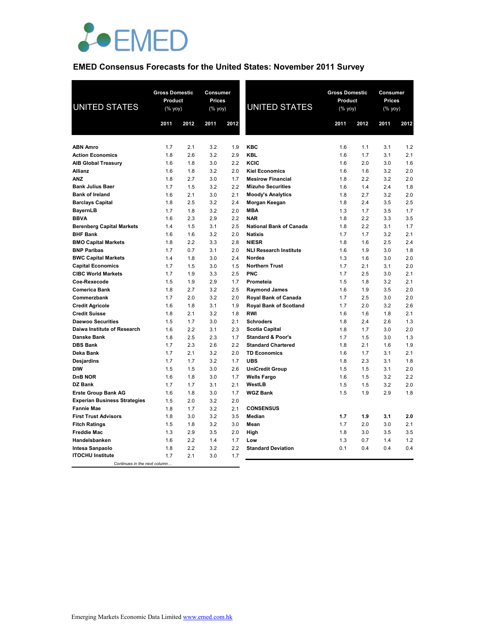

# **EMED Consensus Forecasts for the United States: November 2011 Survey**

| <b>UNITED STATES</b>                              |            | <b>Gross Domestic</b><br>Consumer<br><b>Product</b><br><b>Prices</b><br>(% yoy)<br>(% yoy) |            |            | <b>UNITED STATES</b>                      | <b>Gross Domestic</b><br>Product<br>$(\%$ yoy) |            | Consumer<br>Prices<br>(% yoy) |            |
|---------------------------------------------------|------------|--------------------------------------------------------------------------------------------|------------|------------|-------------------------------------------|------------------------------------------------|------------|-------------------------------|------------|
|                                                   | 2011       | 2012                                                                                       | 2011       | 2012       |                                           | 2011                                           | 2012       | 2011                          | 2012       |
|                                                   |            |                                                                                            |            |            |                                           |                                                |            |                               |            |
| <b>ABN Amro</b>                                   | 1.7        | 2.1                                                                                        | 3.2        | 1.9        | <b>KBC</b>                                | 1.6                                            | 1.1        | 3.1                           | 1.2        |
| <b>Action Economics</b>                           | 1.8        | 2.6                                                                                        | 3.2        | 2.9        | <b>KBL</b>                                | 1.6                                            | 1.7        | 3.1                           | 2.1        |
| <b>AIB Global Treasury</b>                        | 1.6        | 1.8                                                                                        | 3.0        | 2.2        | KCIC                                      | 1.6                                            | 2.0        | 3.0                           | 1.6        |
| <b>Allianz</b>                                    | 1.6        | 1.8                                                                                        | 3.2        | 2.0        | <b>Kiel Economics</b>                     | 1.6                                            | 1.6        | 3.2                           | 2.0        |
| <b>ANZ</b>                                        | 1.8        | 2.7                                                                                        | 3.0<br>3.2 | 1.7<br>2.2 | <b>Mesirow Financial</b>                  | 1.8                                            | 2.2        | 3.2<br>2.4                    | 2.0        |
| <b>Bank Julius Baer</b><br><b>Bank of Ireland</b> | 1.7<br>1.6 | 1.5<br>2.1                                                                                 | 3.0        | 2.1        | <b>Mizuho Securities</b>                  | 1.6<br>1.8                                     | 1.4<br>2.7 | 3.2                           | 1.8<br>2.0 |
| <b>Barclays Capital</b>                           | 1.8        | 2.5                                                                                        | 3.2        | 2.4        | <b>Moody's Analytics</b><br>Morgan Keegan | 1.8                                            | 2.4        | 3.5                           | 2.5        |
|                                                   | 1.7        | 1.8                                                                                        | 3.2        | 2.0        | <b>MBA</b>                                | 1.3                                            | 1.7        | 3.5                           | 1.7        |
| <b>BayernLB</b><br><b>BBVA</b>                    | 1.6        | 2.3                                                                                        | 2.9        | 2.2        | <b>NAR</b>                                | 1.8                                            | 2.2        | 3.3                           | 3.5        |
| <b>Berenberg Capital Markets</b>                  | 1.4        | 1.5                                                                                        | 3.1        | 2.5        | <b>National Bank of Canada</b>            | 1.8                                            | 2.2        | 3.1                           | 1.7        |
| <b>BHF Bank</b>                                   | 1.6        | 1.6                                                                                        | 3.2        | 2.0        | <b>Natixis</b>                            | 1.7                                            | 1.7        | 3.2                           | 2.1        |
| <b>BMO Capital Markets</b>                        | 1.8        | 2.2                                                                                        | 3.3        | 2.8        | <b>NIESR</b>                              | 1.8                                            | 1.6        | 2.5                           | 2.4        |
| <b>BNP Paribas</b>                                | 1.7        | 0.7                                                                                        | 3.1        | 2.0        | <b>NLI Research Institute</b>             | 1.6                                            | 1.9        | 3.0                           | 1.8        |
| <b>BWC Capital Markets</b>                        | 1.4        | 1.8                                                                                        | 3.0        | 2.4        | Nordea                                    | 1.3                                            | 1.6        | 3.0                           | 2.0        |
| <b>Capital Economics</b>                          | 1.7        | 1.5                                                                                        | 3.0        | 1.5        | <b>Northern Trust</b>                     | 1.7                                            | 2.1        | 3.1                           | 2.0        |
| <b>CIBC World Markets</b>                         | 1.7        | 1.9                                                                                        | 3.3        | 2.5        | <b>PNC</b>                                | 1.7                                            | 2.5        | 3.0                           | 2.1        |
| Coe-Rexecode                                      | 1.5        | 1.9                                                                                        | 2.9        | 1.7        | Prometeia                                 | 1.5                                            | 1.8        | 3.2                           | 2.1        |
| <b>Comerica Bank</b>                              | 1.8        | 2.7                                                                                        | 3.2        | 2.5        | <b>Raymond James</b>                      | 1.6                                            | 1.9        | 3.5                           | 2.0        |
| Commerzbank                                       | 1.7        | 2.0                                                                                        | 3.2        | 2.0        | Royal Bank of Canada                      | 1.7                                            | 2.5        | 3.0                           | 2.0        |
| <b>Credit Agricole</b>                            | 1.6        | 1.8                                                                                        | 3.1        | 1.9        | <b>Royal Bank of Scotland</b>             | 1.7                                            | 2.0        | 3.2                           | 2.6        |
| <b>Credit Suisse</b>                              | 1.8        | 2.1                                                                                        | 3.2        | 1.8        | <b>RWI</b>                                | 1.6                                            | 1.6        | 1.8                           | 2.1        |
| <b>Daewoo Securities</b>                          | 1.5        | 1.7                                                                                        | 3.0        | 2.1        | <b>Schroders</b>                          | 1.8                                            | 2.4        | 2.6                           | 1.3        |
| Daiwa Institute of Research                       | 1.6        | 2.2                                                                                        | 3.1        | 2.3        | <b>Scotia Capital</b>                     | 1.8                                            | 1.7        | 3.0                           | 2.0        |
| Danske Bank                                       | 1.8        | 2.5                                                                                        | 2.3        | 1.7        | <b>Standard &amp; Poor's</b>              | 1.7                                            | 1.5        | 3.0                           | 1.3        |
| <b>DBS Bank</b>                                   | 1.7        | 2.3                                                                                        | 2.6        | 2.2        | <b>Standard Chartered</b>                 | 1.8                                            | 2.1        | 1.6                           | 1.9        |
| Deka Bank                                         | 1.7        | 2.1                                                                                        | 3.2        | 2.0        | <b>TD Economics</b>                       | 1.6                                            | 1.7        | 3.1                           | 2.1        |
| <b>Desjardins</b>                                 | 1.7        | 1.7                                                                                        | 3.2        | 1.7        | <b>UBS</b>                                | 1.8                                            | 2.3        | 3.1                           | 1.8        |
| <b>DIW</b>                                        | 1.5        | 1.5                                                                                        | 3.0        | 2.6        | <b>UniCredit Group</b>                    | 1.5                                            | 1.5        | 3.1                           | 2.0        |
| <b>DnB NOR</b>                                    | 1.6        | 1.8                                                                                        | 3.0        | 1.7        | <b>Wells Fargo</b>                        | 1.6                                            | 1.5        | 3.2                           | 2.2        |
| DZ Bank                                           | 1.7        | 1.7                                                                                        | 3.1        | 2.1        | WestLB                                    | 1.5                                            | 1.5        | 3.2                           | 2.0        |
| <b>Erste Group Bank AG</b>                        | 1.6        | 1.8                                                                                        | 3.0        | 1.7        | <b>WGZ Bank</b>                           | 1.5                                            | 1.9        | 2.9                           | 1.8        |
| <b>Experian Business Strategies</b>               | 1.5        | 2.0                                                                                        | 3.2        | 2.0        |                                           |                                                |            |                               |            |
| <b>Fannie Mae</b>                                 | 1.8        | 1.7                                                                                        | 3.2        | 2.1        | <b>CONSENSUS</b>                          |                                                |            |                               |            |
| <b>First Trust Advisors</b>                       | 1.8        | 3.0                                                                                        | 3.2        | 3.5        | <b>Median</b>                             | 1.7                                            | 1.9        | 3.1                           | 2.0        |
| <b>Fitch Ratings</b>                              | 1.5        | 1.8                                                                                        | 3.2        | 3.0        | Mean                                      | 1.7                                            | 2.0        | 3.0                           | 2.1        |
| <b>Freddie Mac</b>                                | 1.3        | 2.9                                                                                        | 3.5        | 2.0        | High                                      | 1.8                                            | 3.0        | 3.5                           | 3.5        |
| Handelsbanken                                     | 1.6        | 2.2                                                                                        | 1.4        | 1.7        | Low                                       | 1.3                                            | 0.7        | 1.4                           | 1.2        |
| Intesa Sanpaolo                                   | 1.8        | 2.2                                                                                        | 3.2        | 2.2        | <b>Standard Deviation</b>                 | 0.1                                            | 0.4        | 0.4                           | 0.4        |
| <b>ITOCHU Institute</b>                           | 1.7        | 2.1                                                                                        | 3.0        | 1.7        |                                           |                                                |            |                               |            |
| Continues in the next column.                     |            |                                                                                            |            |            |                                           |                                                |            |                               |            |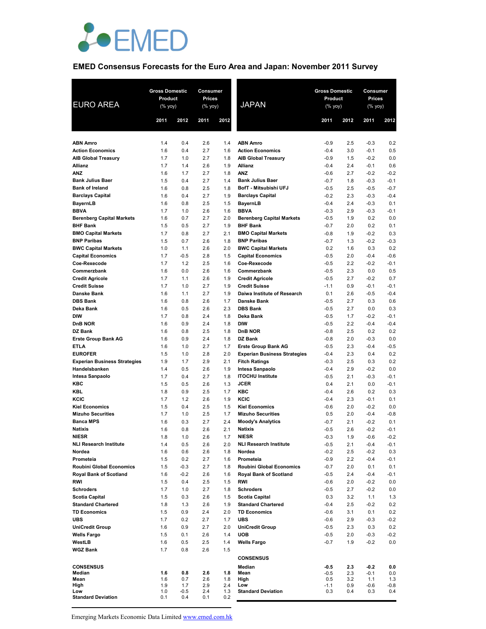

# **EMED Consensus Forecasts for the Euro Area and Japan: November 2011 Survey**

| <b>EURO AREA</b>                                  | <b>Gross Domestic</b><br>Product<br>(% yoy) |               | <b>Consumer</b><br><b>Prices</b><br>(% yoy) |            | <b>JAPAN</b>                                           | <b>Gross Domestic</b><br>Product<br>$(%$ (% yoy) |            | Consumer<br>Prices<br>(% yoy) |                  |
|---------------------------------------------------|---------------------------------------------|---------------|---------------------------------------------|------------|--------------------------------------------------------|--------------------------------------------------|------------|-------------------------------|------------------|
|                                                   | 2011                                        | 2012          | 2011                                        | 2012       |                                                        | 2011                                             | 2012       | 2011                          | 2012             |
| <b>ABN Amro</b>                                   | 1.4                                         | 0.4           | 2.6                                         | 1.4        | <b>ABN Amro</b>                                        | $-0.9$                                           | 2.5        | $-0.3$                        | 0.2              |
| <b>Action Economics</b>                           | 1.6                                         | 0.4           | 2.7                                         | 1.6        | <b>Action Economics</b>                                | $-0.4$                                           | 3.0        | $-0.1$                        | 0.5              |
| <b>AIB Global Treasury</b>                        | 1.7                                         | 1.0           | 2.7                                         | 1.8        | <b>AIB Global Treasury</b>                             | $-0.9$                                           | 1.5        | $-0.2$                        | 0.0              |
| <b>Allianz</b>                                    | 1.7                                         | 1.4           | 2.6                                         | 1.9        | Allianz                                                | $-0.4$                                           | 2.4        | $-0.1$                        | 0.6              |
| <b>ANZ</b>                                        | 1.6                                         | 1.7           | 2.7                                         | 1.8        | <b>ANZ</b>                                             | $-0.6$                                           | 2.7        | $-0.2$                        | $-0.2$           |
| <b>Bank Julius Baer</b><br><b>Bank of Ireland</b> | 1.5<br>1.6                                  | 0.4<br>0.8    | 2.7<br>2.5                                  | 1.4<br>1.8 | <b>Bank Julius Baer</b><br>BofT - Mitsubishi UFJ       | $-0.7$<br>$-0.5$                                 | 1.8<br>2.5 | $-0.3$<br>$-0.5$              | $-0.1$<br>$-0.7$ |
| <b>Barclays Capital</b>                           | 1.6                                         | 0.4           | 2.7                                         | 1.9        | <b>Barclays Capital</b>                                | $-0.2$                                           | 2.3        | $-0.3$                        | $-0.4$           |
| BayernLB                                          | 1.6                                         | 0.8           | 2.5                                         | 1.5        | BayernLB                                               | $-0.4$                                           | 2.4        | $-0.3$                        | 0.1              |
| <b>BBVA</b>                                       | 1.7                                         | 1.0           | 2.6                                         | 1.6        | <b>BBVA</b>                                            | $-0.3$                                           | 2.9        | $-0.3$                        | $-0.1$           |
| <b>Berenberg Capital Markets</b>                  | 1.6                                         | 0.7           | 2.7                                         | 2.0        | <b>Berenberg Capital Markets</b>                       | $-0.5$                                           | 1.9        | 0.2                           | 0.0              |
| <b>BHF Bank</b>                                   | 1.5                                         | 0.5           | 2.7                                         | 1.9        | <b>BHF Bank</b>                                        | $-0.7$                                           | 2.0        | 0.2                           | 0.1              |
| <b>BMO Capital Markets</b>                        | 1.7                                         | 0.8           | 2.7                                         | 2.1        | <b>BMO Capital Markets</b>                             | $-0.8$                                           | 1.9        | $-0.2$                        | 0.3              |
| <b>BNP Paribas</b>                                | 1.5                                         | 0.7           | 2.6                                         | 1.8        | <b>BNP Paribas</b>                                     | $-0.7$                                           | 1.3        | $-0.2$                        | $-0.3$           |
| <b>BWC Capital Markets</b>                        | 1.0<br>1.7                                  | 1.1<br>$-0.5$ | 2.6<br>2.8                                  | 2.0<br>1.5 | <b>BWC Capital Markets</b><br><b>Capital Economics</b> | 0.2<br>$-0.5$                                    | 1.6<br>2.0 | 0.3<br>$-0.4$                 | 0.2<br>$-0.6$    |
| <b>Capital Economics</b><br>Coe-Rexecode          | 1.7                                         | 1.2           | 2.5                                         | 1.6        | Coe-Rexecode                                           | $-0.5$                                           | 2.2        | $-0.2$                        | $-0.1$           |
| Commerzbank                                       | 1.6                                         | 0.0           | 2.6                                         | 1.6        | Commerzbank                                            | $-0.5$                                           | 2.3        | 0.0                           | 0.5              |
| <b>Credit Agricole</b>                            | 1.7                                         | 1.1           | 2.6                                         | 1.9        | <b>Credit Agricole</b>                                 | $-0.5$                                           | 2.7        | $-0.2$                        | 0.7              |
| <b>Credit Suisse</b>                              | 1.7                                         | 1.0           | 2.7                                         | 1.9        | <b>Credit Suisse</b>                                   | $-1.1$                                           | 0.9        | $-0.1$                        | $-0.1$           |
| Danske Bank                                       | 1.6                                         | 1.1           | 2.7                                         | 1.9        | Daiwa Institute of Research                            | 0.1                                              | 2.6        | $-0.5$                        | $-0.4$           |
| <b>DBS Bank</b>                                   | 1.6                                         | 0.8           | 2.6                                         | 1.7        | Danske Bank                                            | $-0.5$                                           | 2.7        | 0.3                           | 0.6              |
| Deka Bank                                         | 1.6                                         | 0.5           | 2.6                                         | 2.3        | <b>DBS Bank</b>                                        | $-0.5$                                           | 2.7        | 0.0                           | 0.3              |
| <b>DIW</b><br><b>DnB NOR</b>                      | 1.7<br>1.6                                  | 0.8<br>0.9    | 2.4<br>2.4                                  | 1.8<br>1.8 | Deka Bank<br><b>DIW</b>                                | $-0.5$<br>$-0.5$                                 | 1.7<br>2.2 | $-0.2$<br>$-0.4$              | $-0.1$<br>$-0.4$ |
| DZ Bank                                           | 1.6                                         | 0.8           | 2.5                                         | 1.8        | <b>DnB NOR</b>                                         | $-0.8$                                           | 2.5        | 0.2                           | 0.2              |
| <b>Erste Group Bank AG</b>                        | 1.6                                         | 0.9           | 2.4                                         | 1.8        | DZ Bank                                                | $-0.8$                                           | 2.0        | $-0.3$                        | 0.0              |
| <b>ETLA</b>                                       | 1.6                                         | 1.0           | 2.7                                         | 1.7        | <b>Erste Group Bank AG</b>                             | $-0.5$                                           | 2.3        | $-0.4$                        | $-0.5$           |
| <b>EUROFER</b>                                    | 1.5                                         | 1.0           | 2.8                                         | 2.0        | <b>Experian Business Strategies</b>                    | $-0.4$                                           | 2.3        | 0.4                           | 0.2              |
| <b>Experian Business Strategies</b>               | 1.9                                         | 1.7           | 2.9                                         | 2.1        | <b>Fitch Ratings</b>                                   | $-0.3$                                           | 2.5        | 0.3                           | 0.2              |
| Handelsbanken                                     | 1.4                                         | 0.5           | 2.6                                         | 1.9        | Intesa Sanpaolo                                        | $-0.4$                                           | 2.9        | $-0.2$                        | 0.0              |
| Intesa Sanpaolo<br>KBC                            | 1.7<br>1.5                                  | 0.4<br>0.5    | 2.7<br>2.6                                  | 1.8<br>1.3 | <b>ITOCHU Institute</b><br><b>JCER</b>                 | $-0.5$<br>0.4                                    | 2.1<br>2.1 | $-0.3$<br>0.0                 | $-0.1$<br>$-0.1$ |
| KBL                                               | 1.8                                         | 0.9           | 2.5                                         | 1.7        | KBC                                                    | $-0.4$                                           | 2.6        | 0.2                           | 0.3              |
| KCIC                                              | 1.7                                         | 1.2           | 2.6                                         | 1.9        | KCIC                                                   | $-0.4$                                           | 2.3        | $-0.1$                        | 0.1              |
| <b>Kiel Economics</b>                             | 1.5                                         | 0.4           | 2.5                                         | 1.5        | <b>Kiel Economics</b>                                  | $-0.6$                                           | 2.0        | $-0.2$                        | 0.0              |
| <b>Mizuho Securities</b>                          | 1.7                                         | 1.0           | 2.5                                         | 1.7        | <b>Mizuho Securities</b>                               | 0.5                                              | 2.0        | $-0.4$                        | $-0.8$           |
| <b>Banca MPS</b>                                  | 1.6                                         | 0.3           | 2.7                                         | 2.4        | <b>Moody's Analytics</b>                               | $-0.7$                                           | 2.1        | $-0.2$                        | 0.1              |
| <b>Natixis</b>                                    | 1.6                                         | 0.8           | 2.6                                         | 2.1        | <b>Natixis</b>                                         | $-0.5$                                           | 2.6        | $-0.2$                        | $-0.1$           |
| <b>NIESR</b><br><b>NLI Research Institute</b>     | 1.8<br>1.4                                  | 1.0<br>0.5    | 2.6<br>2.6                                  | 1.7<br>2.0 | <b>NIESR</b><br><b>NLI Research Institute</b>          | $-0.3$<br>$-0.5$                                 | 1.9<br>2.1 | $-0.6$<br>-0.4                | $-0.2$<br>$-0.1$ |
| Nordea                                            | 1.6                                         | 0.6           | 2.6                                         | 1.8        | Nordea                                                 | $-0.2$                                           | 2.5        | $-0.2$                        | 0.3              |
| Prometeia                                         | 1.5                                         | 0.2           | 2.7                                         | 1.6        | Prometeia                                              | $-0.9$                                           | 2.2        | $-0.4$                        | $-0.1$           |
| <b>Roubini Global Economics</b>                   | 1.5                                         | $-0.3$        | 2.7                                         | 1.8        | <b>Roubini Global Economics</b>                        | $-0.7$                                           | 2.0        | 0.1                           | 0.1              |
| Royal Bank of Scotland                            | 1.6                                         | $-0.2$        | 2.6                                         | 1.6        | <b>Royal Bank of Scotland</b>                          | $-0.5$                                           | 2.4        | $-0.4$                        | $-0.1$           |
| RWI                                               | 1.5                                         | 0.4           | 2.5                                         | 1.5        | RWI                                                    | $-0.6$                                           | 2.0        | $-0.2$                        | 0.0              |
| <b>Schroders</b><br><b>Scotia Capital</b>         | 1.7                                         | 1.0           | 2.7                                         | 1.8        | <b>Schroders</b>                                       | $-0.5$                                           | 2.7        | $-0.2$                        | 0.0              |
| <b>Standard Chartered</b>                         | 1.5<br>1.8                                  | 0.3<br>1.3    | 2.6<br>2.6                                  | 1.5<br>1.9 | <b>Scotia Capital</b><br><b>Standard Chartered</b>     | 0.3<br>$-0.4$                                    | 3.2<br>2.5 | 1.1<br>$-0.2$                 | 1.3<br>0.2       |
| <b>TD Economics</b>                               | 1.5                                         | 0.9           | 2.4                                         | 2.0        | <b>TD Economics</b>                                    | $-0.6$                                           | 3.1        | 0.1                           | 0.2              |
| <b>UBS</b>                                        | 1.7                                         | 0.2           | 2.7                                         | 1.7        | <b>UBS</b>                                             | $-0.6$                                           | 2.9        | $-0.3$                        | $-0.2$           |
| <b>UniCredit Group</b>                            | 1.6                                         | 0.9           | 2.7                                         | 2.0        | <b>UniCredit Group</b>                                 | $-0.5$                                           | 2.3        | 0.3                           | 0.2              |
| <b>Wells Fargo</b>                                | 1.5                                         | 0.1           | 2.6                                         | 1.4        | <b>UOB</b>                                             | $-0.5$                                           | 2.0        | $-0.3$                        | -0.2             |
| WestLB                                            | 1.6                                         | 0.5           | 2.5                                         | 1.4        | <b>Wells Fargo</b>                                     | $-0.7$                                           | 1.9        | $-0.2$                        | 0.0              |
| <b>WGZ Bank</b>                                   | 1.7                                         | 0.8           | 2.6                                         | 1.5        | <b>CONSENSUS</b>                                       |                                                  |            |                               |                  |
| <b>CONSENSUS</b>                                  |                                             |               |                                             |            | Median                                                 | $-0.5$                                           | 2.3        | $-0.2$                        | 0.0              |
| Median                                            | 1.6                                         | 0.8           | 2.6                                         | 1.8        | Mean                                                   | $-0.5$                                           | 2.3        | $-0.1$                        | 0.0              |
| Mean<br>High                                      | 1.6<br>1.9                                  | 0.7<br>1.7    | 2.6<br>2.9                                  | 1.8<br>2.4 | High<br>Low                                            | 0.5<br>$-1.1$                                    | 3.2<br>0.9 | 1.1<br>$-0.6$                 | 1.3<br>-0.8      |
| Low                                               | 1.0                                         | -0.5          | 2.4                                         | 1.3        | <b>Standard Deviation</b>                              | 0.3                                              | 0.4        | 0.3                           | 0.4              |
| <b>Standard Deviation</b>                         | 0.1                                         | 0.4           | 0.1                                         | 0.2        |                                                        |                                                  |            |                               |                  |

Emerging Markets Economic Data Limited www.emed.com.hk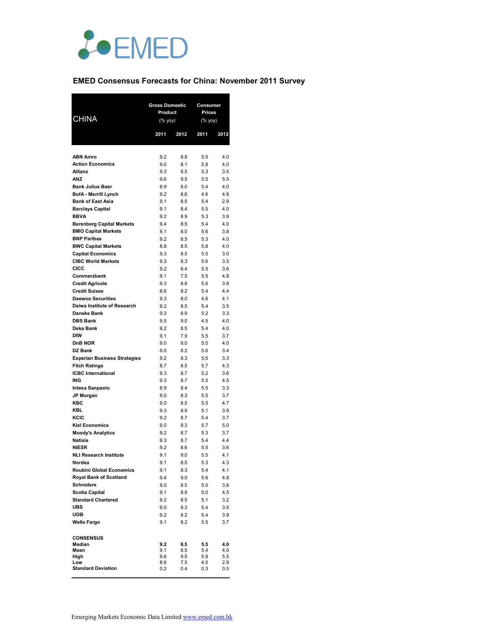

# **EMED Consensus Forecasts for China: November 2011 Survey**

| <b>CHINA</b>                                       | <b>Gross Domestic</b><br>Product<br>(% yoy) |            | Consumer<br><b>Prices</b><br>(% yoy) |            |  |
|----------------------------------------------------|---------------------------------------------|------------|--------------------------------------|------------|--|
|                                                    | 2011                                        | 2012       | 2011                                 | 2012       |  |
|                                                    |                                             |            |                                      |            |  |
| <b>ABN Amro</b>                                    | 9.2                                         | 8.8        | 5.5                                  | 4.0        |  |
| <b>Action Economics</b>                            | 9.0                                         | 8.1        | 5.8                                  | 4.0        |  |
| <b>Allianz</b>                                     | 9.3                                         | 8.5        | 5.3                                  | 3.5        |  |
| <b>ANZ</b>                                         | 9.6                                         | 9.5        | 5.5                                  | 5.5        |  |
| <b>Bank Julius Baer</b>                            | 8.9                                         | 8.0        | 5.4                                  | 4.0        |  |
| <b>BofA - Merrill Lynch</b>                        | 9.2                                         | 8.6        | 4.6                                  | 4.8        |  |
| <b>Bank of East Asia</b>                           | 9.1                                         | 8.5        | 5.4                                  | 2.9        |  |
| <b>Barclays Capital</b>                            | 9.1                                         | 8.4        | 5.5                                  | 4.0        |  |
| <b>BBVA</b>                                        | 9.2                                         | 8.9        | 5.3                                  | 3.9        |  |
| <b>Berenberg Capital Markets</b>                   | 9.4                                         | 8.5        | 5.4                                  | 4.0        |  |
| <b>BMO Capital Markets</b>                         | 9.1                                         | 8.0        | 5.6                                  | 3.8        |  |
| <b>BNP Paribas</b><br><b>BWC Capital Markets</b>   | 9.2<br>8.8                                  | 8.5<br>8.5 | 5.3<br>5.8                           | 4.0<br>4.0 |  |
| <b>Capital Economics</b>                           | 9.3                                         | 8.5        | 5.5                                  | 3.0        |  |
| <b>CIBC World Markets</b>                          | 9.3                                         | 8.3        | 5.6                                  | 3.5        |  |
| <b>CICC</b>                                        | 9.2                                         | 8.4        | 5.5                                  | 3.6        |  |
| Commerzbank                                        | 9.1                                         | 7.5        | 5.5                                  | 4.8        |  |
| <b>Credit Agricole</b>                             | 9.3                                         | 8.8        | 5.6                                  | 3.8        |  |
| <b>Credit Suisse</b>                               | 8.6                                         | 8.2        | 5.4                                  | 4.4        |  |
| <b>Daewoo Securities</b>                           | 9.3                                         | 8.0        | 4.6                                  | 4.1        |  |
| Daiwa Institute of Research                        | 9.2                                         | 8.5        | 5.4                                  | 3.5        |  |
| <b>Danske Bank</b>                                 | 9.3                                         | 8.9        | 5.2                                  | 3.3        |  |
| <b>DBS Bank</b>                                    | 9.5                                         | 9.0        | 4.5                                  | 4.0        |  |
| Deka Bank                                          | 9.2                                         | 8.5        | 5.4                                  | 4.0        |  |
| <b>DIW</b>                                         | 9.1                                         | 7.9        | 5.5                                  | 3.7        |  |
| <b>DnB NOR</b>                                     | 9.0                                         | 8.0        | 5.0                                  | 4.0        |  |
| DZ Bank                                            | 9.0                                         | 8.2        | 5.6                                  | 3.4        |  |
| <b>Experian Business Strategies</b>                | 9.2                                         | 8.3        | 5.5                                  | 3.3        |  |
| <b>Fitch Ratings</b>                               | 8.7                                         | 8.5        | 5.7                                  | 4.3        |  |
| <b>ICBC</b> International<br>ING                   | 9.3<br>9.3                                  | 8.7<br>8.7 | 5.2<br>5.5                           | 3.6<br>4.5 |  |
| Intesa Sanpaolo                                    | 8.9                                         | 8.4        | 5.5                                  | 3.3        |  |
| <b>JP Morgan</b>                                   | 9.0                                         | 8.3        | 5.5                                  | 3.7        |  |
| <b>KBC</b>                                         | 9.0                                         | 8.5        | 5.5                                  | 4.7        |  |
| <b>KBL</b>                                         | 9.3                                         | 8.9        | 5.1                                  | 3.9        |  |
| KCIC                                               | 9.2                                         | 8.7        | 5.4                                  | 3.7        |  |
| <b>Kiel Economics</b>                              | 9.0                                         | 8.3        | 5.7                                  | 5.0        |  |
| <b>Moody's Analytics</b>                           | 9.2                                         | 8.7        | 5.3                                  | 3.7        |  |
| <b>Natixis</b>                                     | 9.3                                         | 8.7        | 5.4                                  | 4.4        |  |
| <b>NIESR</b>                                       | 9.2                                         | 8.6        | 5.5                                  | 3.6        |  |
| <b>NLI Research Institute</b>                      | 9.1                                         | 9.0        | 5.5                                  | 4.1        |  |
| Nordea                                             | 9.1                                         | 8.5        | 5.3                                  | 4.3        |  |
| <b>Roubini Global Economics</b>                    | 9.1                                         | 8.3        | 5.4                                  | 4.1        |  |
| Roval Bank of Scotland<br><b>Schroders</b>         | 9.4                                         | 9.0        | 5.6                                  | 4.8        |  |
|                                                    | 9.0                                         | 8.5        | 5.0                                  | 3.8        |  |
| <b>Scotia Capital</b><br><b>Standard Chartered</b> | 9.1<br>9.2                                  | 8.9<br>8.5 | 5.0<br>5.1                           | 4.5<br>3.2 |  |
| <b>UBS</b>                                         | 9.0                                         | 8.3        | 5.4                                  | 3.5        |  |
| <b>UOB</b>                                         | 9.2                                         | 8.2        | 5.4                                  | 3.9        |  |
| <b>Wells Fargo</b>                                 | 9.1                                         | 8.2        | 5.5                                  | 3.7        |  |
|                                                    |                                             |            |                                      |            |  |
| <b>CONSENSUS</b>                                   |                                             |            |                                      |            |  |
| Median                                             | 9.2                                         | 8.5        | 5.5                                  | 4.0        |  |
| Mean                                               | 9.1                                         | 8.5        | 5.4                                  | 4.0        |  |
| High<br>Low                                        | 9.6<br>8.6                                  | 9.5<br>7.5 | 5.8<br>4.5                           | 5.5<br>2.9 |  |
| <b>Standard Deviation</b>                          | 0.2                                         | 0.4        | 0.3                                  | 0.5        |  |
|                                                    |                                             |            |                                      |            |  |